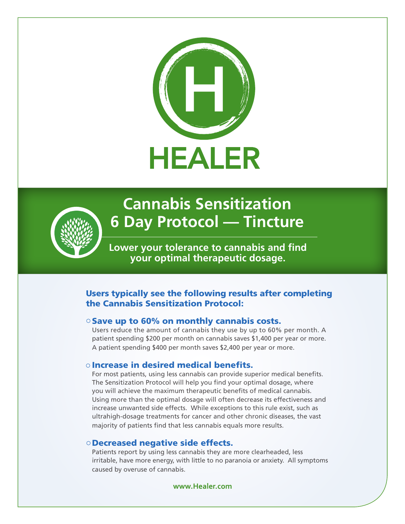



# **Cannabis Sensitization 6 Day Protocol — Tincture**

**Lower your tolerance to cannabis and find your optimal therapeutic dosage.**

### Users typically see the following results after completing the Cannabis Sensitization Protocol:

### $\circ$  Save up to 60% on monthly cannabis costs.

Users reduce the amount of cannabis they use by up to 60% per month. A patient spending \$200 per month on cannabis saves \$1,400 per year or more. A patient spending \$400 per month saves \$2,400 per year or more.

### $\circ$  Increase in desired medical benefits.

For most patients, using less cannabis can provide superior medical benefits. The Sensitization Protocol will help you find your optimal dosage, where you will achieve the maximum therapeutic benefits of medical cannabis. Using more than the optimal dosage will often decrease its effectiveness and increase unwanted side effects. While exceptions to this rule exist, such as ultrahigh-dosage treatments for cancer and other chronic diseases, the vast majority of patients find that less cannabis equals more results.

### $\circ$  Decreased negative side effects.

Patients report by using less cannabis they are more clearheaded, less irritable, have more energy, with little to no paranoia or anxiety. All symptoms caused by overuse of cannabis.

**www.Healer.com**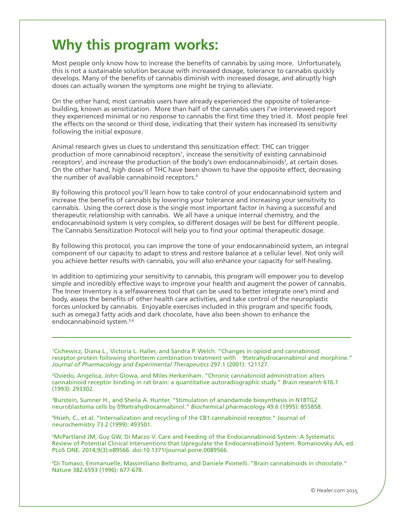## **Why this program works:**

Most people only know how to increase the benefits of cannabis by using more. Unfortunately, this is not a sustainable solution because with increased dosage, tolerance to cannabis quickly develops. Many of the benefits of cannabis diminish with increased dosage, and abruptly high doses can actually worsen the symptoms one might be trying to alleviate.

On the other hand, most cannabis users have already experienced the opposite of tolerancebuilding, known as sensitization. More than half of the cannabis users I've interviewed report they experienced minimal or no response to cannabis the first time they tried it. Most people feel the effects on the second or third dose, indicating that their system has increased its sensitivity following the initial exposure.

Animal research gives us clues to understand this sensitization effect: THC can trigger production of more cannabinoid receptors<sup>1</sup>, increase the sensitivity of existing cannabinoid receptors<sup>2</sup>, and increase the production of the body's own endocannabinoids<sup>3</sup>, at certain doses. On the other hand, high doses of THC have been shown to have the opposite effect, decreasing the number of available cannabinoid receptors.4

By following this protocol you'll learn how to take control of your endocannabinoid system and increase the benefits of cannabis by lowering your tolerance and increasing your sensitivity to cannabis. Using the correct dose is the single most important factor in having a successful and therapeutic relationship with cannabis. We all have a unique internal chemistry, and the endocannabinoid system is very complex, so different dosages will be best for different people. The Cannabis Sensitization Protocol will help you to find your optimal therapeutic dosage.

By following this protocol, you can improve the tone of your endocannabinoid system, an integral component of our capacity to adapt to stress and restore balance at a cellular level. Not only will you achieve better results with cannabis, you will also enhance your capacity for self-healing.

In addition to optimizing your sensitivity to cannabis, this program will empower you to develop simple and incredibly effective ways to improve your health and augment the power of cannabis. The Inner Inventory is a selfawareness tool that can be used to better integrate one's mind and body, assess the benefits of other health care activities, and take control of the neuroplastic forces unlocked by cannabis. Enjoyable exercises included in this program and specific foods, such as omega3 fatty acids and dark chocolate, have also been shown to enhance the endocannabinoid system.5,6

1 Cichewicz, Diana L., Victoria L. Haller, and Sandra P. Welch. "Changes in opioid and cannabinoid receptor protein following shortterm combination treatment with 9tetrahydrocannabinol and morphine." *Journal of Pharmacology and Experimental Therapeutics* 297.1 (2001): 121127.

2 Oviedo, Angelica, John Glowa, and Miles Herkenham. "Chronic cannabinoid administration alters cannabinoid receptor binding in rat brain: a quantitative autoradiographic study." *Brain research* 616.1 (1993): 293302.

3 Burstein, Sumner H., and Sheila A. Hunter. "Stimulation of anandamide biosynthesis in N18TG2 neuroblastoma cells by δ9tetrahydrocannabinol." *Biochemical pharmacology* 49.6 (1995): 855858.

4 Hsieh, C., et al. "Internalization and recycling of the CB1 cannabinoid receptor." Journal of neurochemistry 73.2 (1999): 493501.

5 McPartland JM, Guy GW, Di Marzo V. Care and Feeding of the Endocannabinoid System: A Systematic Review of Potential Clinical Interventions that Upregulate the Endocannabinoid System. Romanovsky AA, ed. PLoS ONE. 2014;9(3):e89566. doi:10.1371/journal.pone.0089566.

6 Di Tomaso, Emmanuelle, Massimiliano Beltramo, and Daniele Piomelli. "Brain cannabinoids in chocolate." Nature 382.6593 (1996): 677-678.

© Healer.com 2015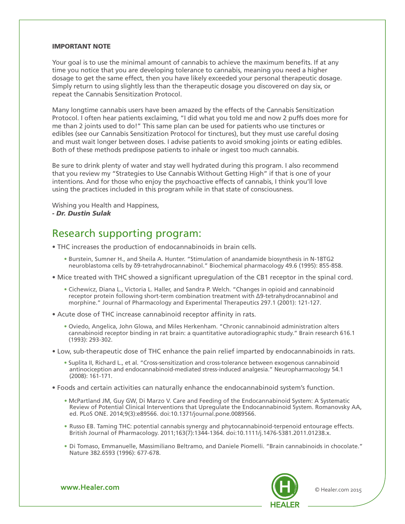### IMPORTANT NOTE

Your goal is to use the minimal amount of cannabis to achieve the maximum benefits. If at any time you notice that you are developing tolerance to cannabis, meaning you need a higher dosage to get the same effect, then you have likely exceeded your personal therapeutic dosage. Simply return to using slightly less than the therapeutic dosage you discovered on day six, or repeat the Cannabis Sensitization Protocol.

Many longtime cannabis users have been amazed by the effects of the Cannabis Sensitization Protocol. I often hear patients exclaiming, "I did what you told me and now 2 puffs does more for me than 2 joints used to do!" This same plan can be used for patients who use tinctures or edibles (see our Cannabis Sensitization Protocol for tinctures), but they must use careful dosing and must wait longer between doses. I advise patients to avoid smoking joints or eating edibles. Both of these methods predispose patients to inhale or ingest too much cannabis.

Be sure to drink plenty of water and stay well hydrated during this program. I also recommend that you review my "Strategies to Use Cannabis Without Getting High" if that is one of your intentions. And for those who enjoy the psychoactive effects of cannabis, I think you'll love using the practices included in this program while in that state of consciousness.

Wishing you Health and Happiness, *- Dr. Dustin Sulak*

### Research supporting program:

- THC increases the production of endocannabinoids in brain cells.
	- Burstein, Sumner H., and Sheila A. Hunter. "Stimulation of anandamide biosynthesis in N-18TG2 neuroblastoma cells by δ9-tetrahydrocannabinol." Biochemical pharmacology 49.6 (1995): 855-858.
- Mice treated with THC showed a significant upregulation of the CB1 receptor in the spinal cord.
	- Cichewicz, Diana L., Victoria L. Haller, and Sandra P. Welch. "Changes in opioid and cannabinoid receptor protein following short-term combination treatment with Δ9-tetrahydrocannabinol and morphine." Journal of Pharmacology and Experimental Therapeutics 297.1 (2001): 121-127.
- Acute dose of THC increase cannabinoid receptor affinity in rats.
	- Oviedo, Angelica, John Glowa, and Miles Herkenham. "Chronic cannabinoid administration alters cannabinoid receptor binding in rat brain: a quantitative autoradiographic study." Brain research 616.1 (1993): 293-302.
- Low, sub-therapeutic dose of THC enhance the pain relief imparted by endocannabinoids in rats.
	- Suplita II, Richard L., et al. "Cross-sensitization and cross-tolerance between exogenous cannabinoid antinociception and endocannabinoid-mediated stress-induced analgesia." Neuropharmacology 54.1 (2008): 161-171.
- Foods and certain activities can naturally enhance the endocannabinoid system's function.
	- McPartland JM, Guy GW, Di Marzo V. Care and Feeding of the Endocannabinoid System: A Systematic Review of Potential Clinical Interventions that Upregulate the Endocannabinoid System. Romanovsky AA, ed. PLoS ONE. 2014;9(3):e89566. doi:10.1371/journal.pone.0089566.
	- Russo EB. Taming THC: potential cannabis synergy and phytocannabinoid-terpenoid entourage effects. British Journal of Pharmacology. 2011;163(7):1344-1364. doi:10.1111/j.1476-5381.2011.01238.x.
	- Di Tomaso, Emmanuelle, Massimiliano Beltramo, and Daniele Piomelli. "Brain cannabinoids in chocolate." Nature 382.6593 (1996): 677-678.



**www.Healer.com COMEX COMEX COMEX COMEX COMEX COMEX COMEX COMEX COMEX COMEX COMEX COMEX COMEX COMEX COMEX COMEX COMEX COMEX COMEX COMEX COMEX COMEX COMEX COMEX COMEX COMEX COMEX COMEX COMEX COMEX COMEX COMEX COMEX COMEX**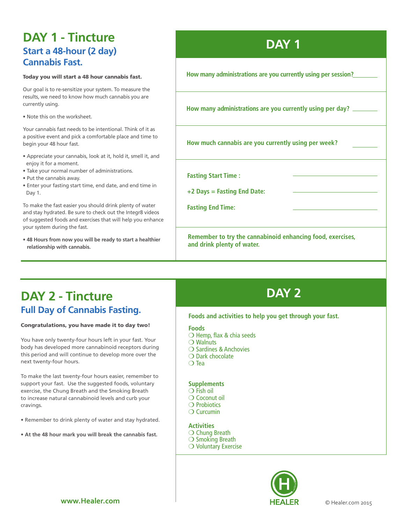## **DAY 1 - Tincture Start a 48-hour (2 day) Cannabis Fast.**

#### Today you will start a 48 hour cannabis fast.

Our goal is to re-sensitize your system. To measure the results, we need to know how much cannabis you are currently using.

• Note this on the worksheet.

Your cannabis fast needs to be intentional. Think of it as a positive event and pick a comfortable place and time to begin your 48 hour fast.

- Appreciate your cannabis, look at it, hold it, smell it, and enjoy it for a moment.
- Take your normal number of administrations.
- Put the cannabis away.
- Enter your fasting start time, end date, and end time in Day 1.

To make the fast easier you should drink plenty of water and stay hydrated. Be sure to check out the Integr8 videos of suggested foods and exercises that will help you enhance your system during the fast.

• **48 Hours from now you will be ready to start a healthier relationship with cannabis.**

## **DAY 1**

**How many administrations are you currently using per session?**

**How many administrations are you currently using per day?**

**How much cannabis are you currently using per week?**

**Fasting Start Time :** 

**+2 Days = Fasting End Date:**

**Fasting End Time:** 

**Remember to try the cannabinoid enhancing food, exercises, and drink plenty of water.** 

## **DAY 2 - Tincture DAY 2 Full Day of Cannabis Fasting.**

#### Congratulations, you have made it to day two!

You have only twenty-four hours left in your fast. Your body has developed more cannabinoid receptors during this period and will continue to develop more over the next twenty-four hours.

To make the last twenty-four hours easier, remember to support your fast. Use the suggested foods, voluntary exercise, the Chung Breath and the Smoking Breath to increase natural cannabinoid levels and curb your cravings.

- Remember to drink plenty of water and stay hydrated.
- **At the 48 hour mark you will break the cannabis fast.**

### **Foods and activities to help you get through your fast.**

**Foods**

- $\bigcirc$  Hemp, flax & chia seeds
- $\bigcirc$  Walnuts
- $\bigcirc$  Sardines & Anchovies
- $\bigcirc$  Dark chocolate
- $\bigcirc$  Tea

### **Supplements**

- $\bigcirc$  Fish oil
- $\bigcirc$  Coconut oil  $\bigcirc$  Probiotics
- $\bigcirc$  Curcumin
- 

### **Activities**

- $\bigcirc$  Chung Breath
- $\bigcirc$  Smoking Breath
- $\bigcirc$  Voluntary Exercise

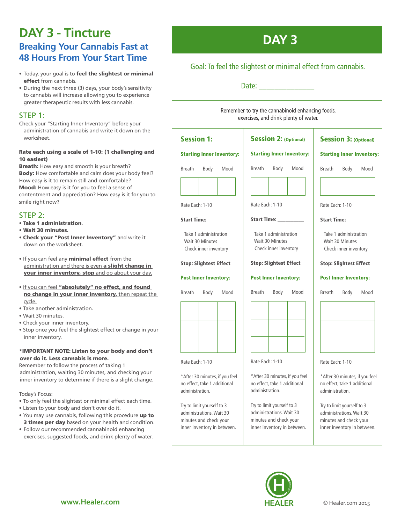## **DAY 3 - Tincture Breaking Your Cannabis Fast at 48 Hours From Your Start Time**

- Today, your goal is to feel the slightest or minimal effect from cannabis.
- During the next three (3) days, your body's sensitivity to cannabis will increase allowing you to experience greater therapeutic results with less cannabis.

### STEP 1:

Check your "Starting Inner Inventory" before your administration of cannabis and write it down on the worksheet.

### Rate each using a scale of 1-10: (1 challenging and 10 easiest)

Breath: How easy and smooth is your breath? Body: How comfortable and calm does your body feel? How easy is it to remain still and comfortable? Mood: How easy is it for you to feel a sense of contentment and appreciation? How easy is it for you to smile right now?

### STEP 2:

- Take 1 administration.
- Wait 30 minutes.
- Check your "Post Inner Inventory" and write it down on the worksheet.
- If you can feel any **minimal effect** from the administration and there is even a slight change in your inner inventory, stop and go about your day.
- If you can feel "absolutely" no effect, and found no change in your inner inventory, then repeat the cycle.
- Take another administration.
- Wait 30 minutes.
- Check your inner inventory.
- Stop once you feel the slightest effect or change in your inner inventory.

#### \*IMPORTANT NOTE: Listen to your body and don't over do it. Less cannabis is more.

Remember to follow the process of taking 1 administration, waiting 30 minutes, and checking your inner inventory to determine if there is a slight change.

Today's Focus:

- To only feel the slightest or minimal effect each time.
- Listen to your body and don't over do it.
- You may use cannabis, following this procedure up to 3 times per day based on your health and condition.
- Follow our recommended cannabinoid enhancing exercises, suggested foods, and drink plenty of water.

## **DAY 3**

### Goal: To feel the slightest or minimal effect from cannabis.

Date:  $\Box$ 

Remember to try the cannabinoid enhancing foods, exercises, and drink plenty of water.

| <b>Session 1:</b>                                                                                               | <b>Session 2: (Optional)</b><br><b>Session 3: (Optional)</b>                                                    |                                                                                                                 |  |  |  |
|-----------------------------------------------------------------------------------------------------------------|-----------------------------------------------------------------------------------------------------------------|-----------------------------------------------------------------------------------------------------------------|--|--|--|
| <b>Starting Inner Inventory:</b>                                                                                | <b>Starting Inner Inventory:</b>                                                                                | <b>Starting Inner Inventory:</b>                                                                                |  |  |  |
| Body<br>Breath<br>Mood                                                                                          | <b>Breath</b><br>Body<br>Mood                                                                                   | <b>Breath</b><br>Body<br>Mood                                                                                   |  |  |  |
| Rate Each: 1-10                                                                                                 | Rate Each: 1-10                                                                                                 | Rate Each: 1-10                                                                                                 |  |  |  |
| Start Time: __                                                                                                  | Start Time: _                                                                                                   | <b>Start Time:</b>                                                                                              |  |  |  |
| Take 1 administration<br>Wait 30 Minutes<br>Check inner inventory                                               | Take 1 administration<br>Wait 30 Minutes<br>Check inner inventory                                               | Take 1 administration<br>Wait 30 Minutes<br>Check inner inventory                                               |  |  |  |
| <b>Stop: Slightest Effect</b>                                                                                   | <b>Stop: Slightest Effect</b>                                                                                   | <b>Stop: Slightest Effect</b>                                                                                   |  |  |  |
| <b>Post Inner Inventory:</b>                                                                                    | <b>Post Inner Inventory:</b>                                                                                    | <b>Post Inner Inventory:</b>                                                                                    |  |  |  |
| Breath<br>Body<br>Mood                                                                                          | <b>Breath</b><br>Body<br>Mood                                                                                   | <b>Breath</b><br>Body<br>Mood                                                                                   |  |  |  |
|                                                                                                                 |                                                                                                                 |                                                                                                                 |  |  |  |
|                                                                                                                 |                                                                                                                 |                                                                                                                 |  |  |  |
| Rate Each: 1-10                                                                                                 | Rate Each: 1-10                                                                                                 | Rate Each: 1-10                                                                                                 |  |  |  |
| *After 30 minutes, if you feel<br>no effect, take 1 additional<br>administration.                               | *After 30 minutes, if you feel<br>no effect, take 1 additional<br>administration.                               | *After 30 minutes, if you feel<br>no effect, take 1 additional<br>administration.                               |  |  |  |
| Try to limit yourself to 3<br>administrations. Wait 30<br>minutes and check your<br>inner inventory in between. | Try to limit yourself to 3<br>administrations. Wait 30<br>minutes and check your<br>inner inventory in between. | Try to limit yourself to 3<br>administrations. Wait 30<br>minutes and check your<br>inner inventory in between. |  |  |  |

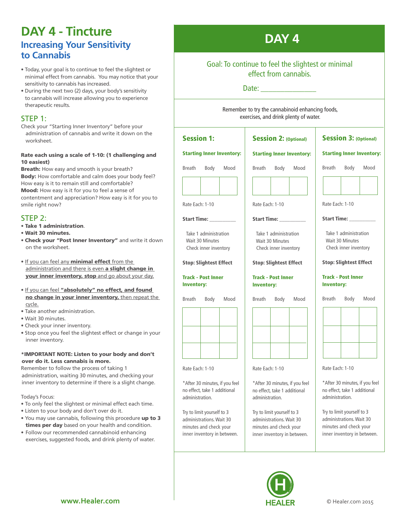### **DAY 4 - Tincture Increasing Your Sensitivity to Cannabis**

- Today, your goal is to continue to feel the slightest or minimal effect from cannabis. You may notice that your sensitivity to cannabis has increased.
- During the next two (2) days, your body's sensitivity to cannabis will increase allowing you to experience therapeutic results.

### STEP 1:

Check your "Starting Inner Inventory" before your administration of cannabis and write it down on the worksheet.

### Rate each using a scale of 1-10: (1 challenging and 10 easiest)

Breath: How easy and smooth is your breath? Body: How comfortable and calm does your body feel? How easy is it to remain still and comfortable? Mood: How easy is it for you to feel a sense of

contentment and appreciation? How easy is it for you to smile right now?

### STEP 2:

- Take 1 administration.
- Wait 30 minutes.
- Check your "Post Inner Inventory" and write it down on the worksheet.
- If you can feel any **minimal effect** from the administration and there is even a slight change in your inner inventory, stop and go about your day.
- If you can feel "absolutely" no effect, and found no change in your inner inventory, then repeat the cycle.
- Take another administration.
- Wait 30 minutes.
- Check your inner inventory.
- Stop once you feel the slightest effect or change in your inner inventory.

### \*IMPORTANT NOTE: Listen to your body and don't over do it. Less cannabis is more.

Remember to follow the process of taking 1 administration, waiting 30 minutes, and checking your inner inventory to determine if there is a slight change.

### Today's Focus:

- To only feel the slightest or minimal effect each time.
- Listen to your body and don't over do it.
- You may use cannabis, following this procedure up to 3 times per day based on your health and condition.
- Follow our recommended cannabinoid enhancing exercises, suggested foods, and drink plenty of water.

## **DAY 4**

### Goal: To continue to feel the slightest or minimal effect from cannabis.

### Date:  $\Box$

Remember to try the cannabinoid enhancing foods, exercises, and drink plenty of water.



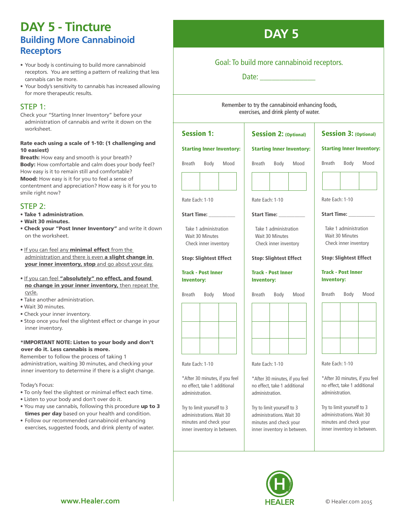### **DAY 5 - Tincture Building More Cannabinoid Receptors**

- Your body is continuing to build more cannabinoid receptors. You are setting a pattern of realizing that less cannabis can be more.
- Your body's sensitivity to cannabis has increased allowing for more therapeutic results.

### STEP 1:

Check your "Starting Inner Inventory" before your administration of cannabis and write it down on the worksheet.

### Rate each using a scale of 1-10: (1 challenging and 10 easiest)

**Breath:** How easy and smooth is your breath? Body: How comfortable and calm does your body feel? How easy is it to remain still and comfortable? Mood: How easy is it for you to feel a sense of contentment and appreciation? How easy is it for you to smile right now?

### STFP<sub>2:</sub>

- Take 1 administration.
- Wait 30 minutes.
- Check your "Post Inner Inventory" and write it down on the worksheet.
- If you can feel any **minimal effect** from the administration and there is even a slight change in your inner inventory, stop and go about your day.
- If you can feel "absolutely" no effect, and found no change in your inner inventory, then repeat the cycle.
- Take another administration.
- Wait 30 minutes.
- Check your inner inventory.
- Stop once you feel the slightest effect or change in your inner inventory.

### \*IMPORTANT NOTE: Listen to your body and don't over do it. Less cannabis is more.

Remember to follow the process of taking 1 administration, waiting 30 minutes, and checking your inner inventory to determine if there is a slight change.

Today's Focus:

- To only feel the slightest or minimal effect each time.
- Listen to your body and don't over do it.
- You may use cannabis, following this procedure up to 3 times per day based on your health and condition.
- Follow our recommended cannabinoid enhancing exercises, suggested foods, and drink plenty of water.



### Goal: To build more cannabinoid receptors.

Date:

Remember to try the cannabinoid enhancing foods, exercises, and drink plenty of water.

#### Session 1: Starting Inner Inventory: Breath Body Mood Rate Each: 1-10 Start Time: Take 1 administration Wait 30 Minutes Check inner inventory Stop: Slightest Effect Track - Post Inner Inventory: Breath Body Mood Rate Each: 1-10 Session 2: (Optional) Starting Inner Inventory: Breath Body Mood .<br>F Rate Each: 1-10 Start Time: Take 1 administration Wait 30 Minutes Check inner inventory Stop: Slightest Effect Track - Post Inner Inventory: Breath Body Mood .<br>T Rate Each: 1-10 Session 3: (Optional) Starting Inner Inventory: Breath Body Mood . Rate Each: 1-10 Start Time: \_\_\_\_\_\_\_\_\_\_ Take 1 administration Wait 30 Minutes Check inner inventory Stop: Slightest Effect Track - Post Inner Inventory: Breath Body Mood  $\overline{r}$ Rate Each: 1-10

\*After 30 minutes, if you feel no effect, take 1 additional administration.

Try to limit yourself to 3 administrations. Wait 30 minutes and check your inner inventory in between.





\*After 30 minutes, if you feel no effect, take 1 additional administration.

Try to limit yourself to 3 administrations. Wait 30 minutes and check your inner inventory in between.



.<br>F

.<br>F

\*After 30 minutes, if you feel no effect, take 1 additional

Try to limit yourself to 3 administrations. Wait 30 minutes and check your inner inventory in between.

administration.